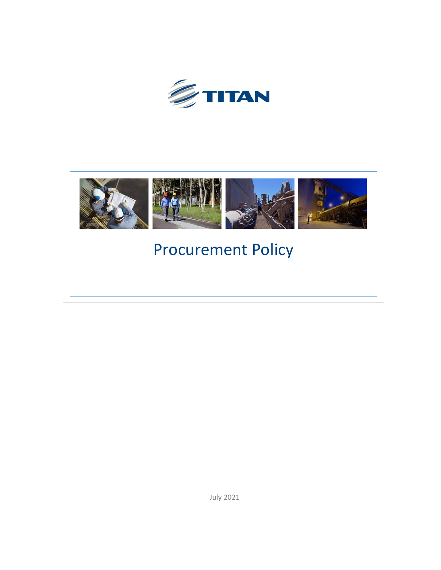



# Procurement Policy

July 2021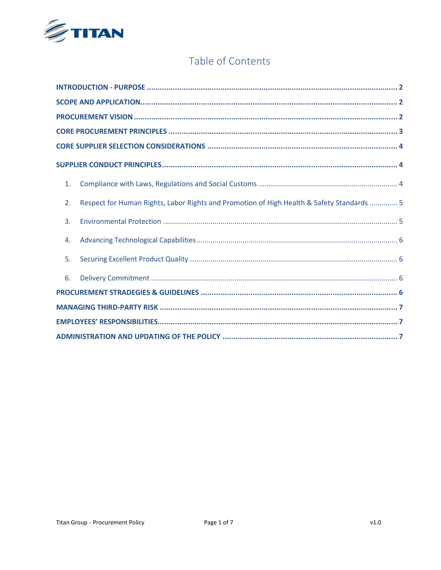

#### Table of Contents

| 1. |                                                                                           |  |
|----|-------------------------------------------------------------------------------------------|--|
| 2. | Respect for Human Rights, Labor Rights and Promotion of High Health & Safety Standards  5 |  |
| 3. |                                                                                           |  |
| 4. |                                                                                           |  |
| 5. |                                                                                           |  |
| 6. |                                                                                           |  |
|    |                                                                                           |  |
|    |                                                                                           |  |
|    |                                                                                           |  |
|    |                                                                                           |  |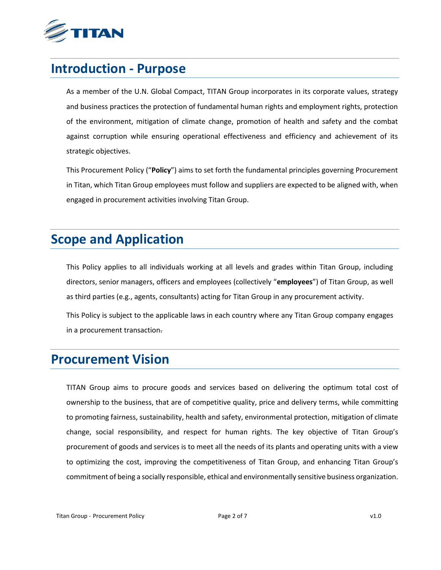

### <span id="page-2-0"></span>**Introduction - Purpose**

As a member of the U.N. Global Compact, TITAN Group incorporates in its corporate values, strategy and business practices the protection of fundamental human rights and employment rights, protection of the environment, mitigation of climate change, promotion of health and safety and the combat against corruption while ensuring operational effectiveness and efficiency and achievement of its strategic objectives.

This Procurement Policy ("**Policy**") aims to set forth the fundamental principles governing Procurement in Titan, which Titan Group employees must follow and suppliers are expected to be aligned with, when engaged in procurement activities involving Titan Group.

### <span id="page-2-1"></span>**Scope and Application**

This Policy applies to all individuals working at all levels and grades within Titan Group, including directors, senior managers, officers and employees (collectively "**employees**") of Titan Group, as well as third parties (e.g., agents, consultants) acting for Titan Group in any procurement activity.

This Policy is subject to the applicable laws in each country where any Titan Group company engages in a procurement transaction.

### <span id="page-2-2"></span>**Procurement Vision**

<span id="page-2-3"></span>TITAN Group aims to procure goods and services based on delivering the optimum total cost of ownership to the business, that are of competitive quality, price and delivery terms, while committing to promoting fairness, sustainability, health and safety, environmental protection, mitigation of climate change, social responsibility, and respect for human rights. The key objective of Titan Group's procurement of goods and services is to meet all the needs of its plants and operating units with a view to optimizing the cost, improving the competitiveness of Titan Group, and enhancing Titan Group's commitment of being a socially responsible, ethical and environmentally sensitive business organization.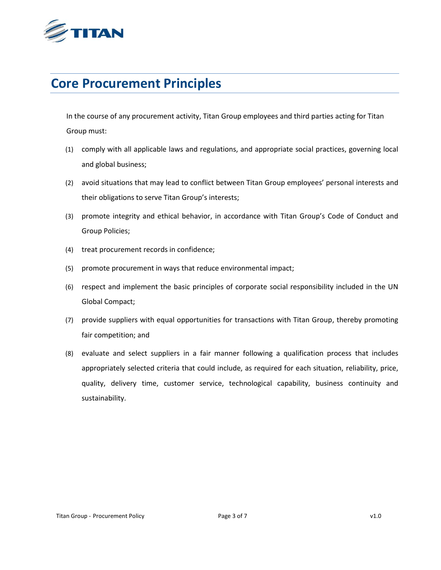

### **Core Procurement Principles**

In the course of any procurement activity, Titan Group employees and third parties acting for Titan Group must:

- (1) comply with all applicable laws and regulations, and appropriate social practices, governing local and global business;
- (2) avoid situations that may lead to conflict between Titan Group employees' personal interests and their obligations to serve Titan Group's interests;
- (3) promote integrity and ethical behavior, in accordance with Titan Group's Code of Conduct and Group Policies;
- (4) treat procurement records in confidence;
- (5) promote procurement in ways that reduce environmental impact;
- (6) respect and implement the basic principles of corporate social responsibility included in the UN Global Compact;
- (7) provide suppliers with equal opportunities for transactions with Titan Group, thereby promoting fair competition; and
- (8) evaluate and select suppliers in a fair manner following a qualification process that includes appropriately selected criteria that could include, as required for each situation, reliability, price, quality, delivery time, customer service, technological capability, business continuity and sustainability.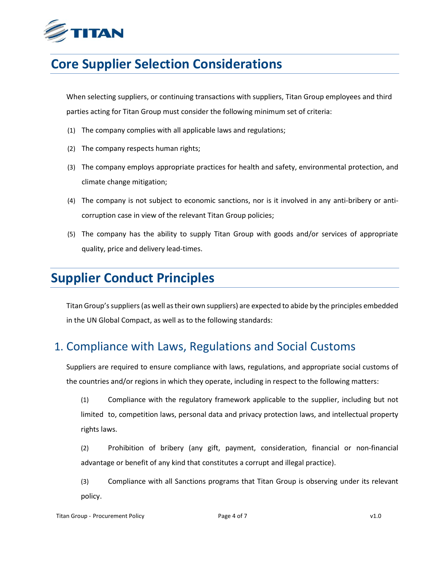

### <span id="page-4-0"></span>**Core Supplier Selection Considerations**

When selecting suppliers, or continuing transactions with suppliers, Titan Group employees and third parties acting for Titan Group must consider the following minimum set of criteria:

- (1) The company complies with all applicable laws and regulations;
- (2) The company respects human rights;
- (3) The company employs appropriate practices for health and safety, environmental protection, and climate change mitigation;
- (4) The company is not subject to economic sanctions, nor is it involved in any anti-bribery or anticorruption case in view of the relevant Titan Group policies;
- (5) The company has the ability to supply Titan Group with goods and/or services of appropriate quality, price and delivery lead-times.

### <span id="page-4-1"></span>**Supplier Conduct Principles**

Titan Group's suppliers(as well as their own suppliers) are expected to abide by the principles embedded in the UN Global Compact, as well as to the following standards:

#### <span id="page-4-2"></span>1. Compliance with Laws, Regulations and Social Customs

Suppliers are required to ensure compliance with laws, regulations, and appropriate social customs of the countries and/or regions in which they operate, including in respect to the following matters:

(1) Compliance with the regulatory framework applicable to the supplier, including but not limited to, competition laws, personal data and privacy protection laws, and intellectual property rights laws.

(2) Prohibition of bribery (any gift, payment, consideration, financial or non-financial advantage or benefit of any kind that constitutes a corrupt and illegal practice).

(3) Compliance with all Sanctions programs that Titan Group is observing under its relevant policy.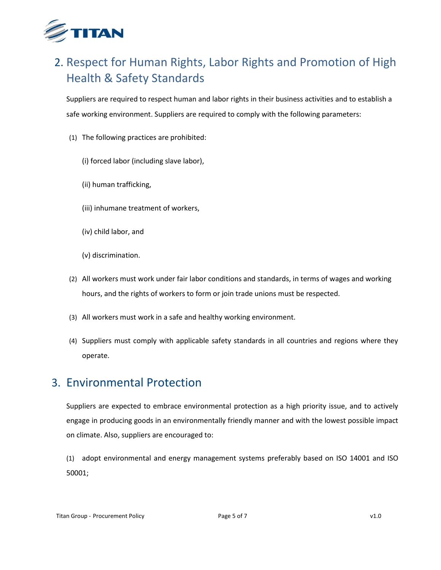

### <span id="page-5-0"></span>2. Respect for Human Rights, Labor Rights and Promotion of High Health & Safety Standards

Suppliers are required to respect human and labor rights in their business activities and to establish a safe working environment. Suppliers are required to comply with the following parameters:

- (1) The following practices are prohibited:
	- (i) forced labor (including slave labor),
	- (ii) human trafficking,
	- (iii) inhumane treatment of workers,
	- (iv) child labor, and
	- (v) discrimination.
- (2) All workers must work under fair labor conditions and standards, in terms of wages and working hours, and the rights of workers to form or join trade unions must be respected.
- (3) All workers must work in a safe and healthy working environment.
- (4) Suppliers must comply with applicable safety standards in all countries and regions where they operate.

#### <span id="page-5-1"></span>3. Environmental Protection

Suppliers are expected to embrace environmental protection as a high priority issue, and to actively engage in producing goods in an environmentally friendly manner and with the lowest possible impact on climate. Also, suppliers are encouraged to:

(1) adopt environmental and energy management systems preferably based on ISO 14001 and ISO 50001;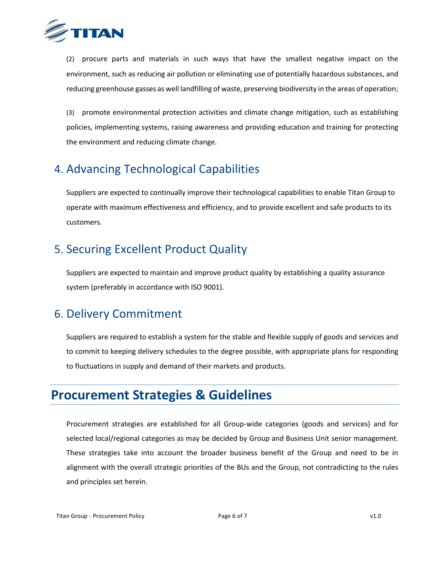

(2) procure parts and materials in such ways that have the smallest negative impact on the environment, such as reducing air pollution or eliminating use of potentially hazardous substances, and reducing greenhouse gasses as well landfilling of waste, preserving biodiversity in the areas of operation;

(3) promote environmental protection activities and climate change mitigation, such as establishing policies, implementing systems, raising awareness and providing education and training for protecting the environment and reducing climate change.

### <span id="page-6-0"></span>4. Advancing Technological Capabilities

Suppliers are expected to continually improve their technological capabilities to enable Titan Group to operate with maximum effectiveness and efficiency, and to provide excellent and safe products to its customers.

### <span id="page-6-1"></span>5. Securing Excellent Product Quality

Suppliers are expected to maintain and improve product quality by establishing a quality assurance system (preferably in accordance with ISO 9001).

#### <span id="page-6-2"></span>6. Delivery Commitment

Suppliers are required to establish a system for the stable and flexible supply of goods and services and to commit to keeping delivery schedules to the degree possible, with appropriate plans for responding to fluctuations in supply and demand of their markets and products.

### <span id="page-6-3"></span>**Procurement Strategies & Guidelines**

Procurement strategies are established for all Group-wide categories (goods and services) and for selected local/regional categories as may be decided by Group and Business Unit senior management. These strategies take into account the broader business benefit of the Group and need to be in alignment with the overall strategic priorities of the BUs and the Group, not contradicting to the rules and principles set herein.